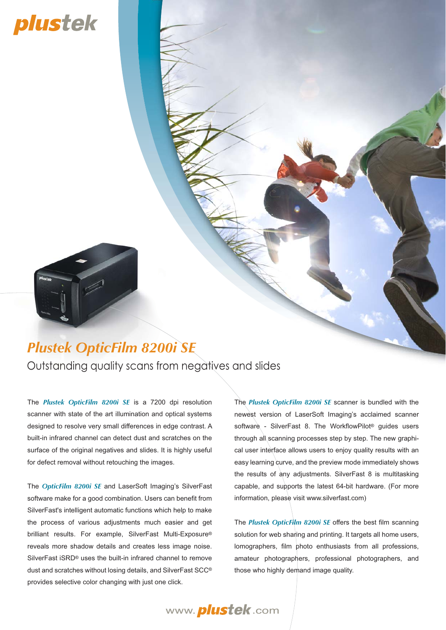# plustek

### Outstanding quality scans from negatives and slides *Plustek OpticFilm 8200i SE*

The *Plustek OpticFilm 8200i SE* is a 7200 dpi resolution scanner with state of the art illumination and optical systems designed to resolve very small differences in edge contrast. A built-in infrared channel can detect dust and scratches on the surface of the original negatives and slides. It is highly useful for defect removal without retouching the images.

The *OpticFilm 8200i SE* and LaserSoft Imaging's SilverFast software make for a good combination. Users can benefit from SilverFast's intelligent automatic functions which help to make the process of various adjustments much easier and get brilliant results. For example, SilverFast Multi-Exposure® reveals more shadow details and creates less image noise. SilverFast iSRD® uses the built-in infrared channel to remove dust and scratches without losing details, and SilverFast SCC® provides selective color changing with just one click.

The *Plustek OpticFilm 8200i SE* scanner is bundled with the newest version of LaserSoft Imaging's acclaimed scanner software - SilverFast 8. The WorkflowPilot<sup>®</sup> guides users through all scanning processes step by step. The new graphical user interface allows users to enjoy quality results with an easy learning curve, and the preview mode immediately shows the results of any adjustments. SilverFast 8 is multitasking capable, and supports the latest 64-bit hardware. (For more information, please visit www.silverfast.com)

The *Plustek OpticFilm 8200i SE* offers the best film scanning solution for web sharing and printing. It targets all home users, lomographers, film photo enthusiasts from all professions, amateur photographers, professional photographers, and those who highly demand image quality.

www. *plustek*.com